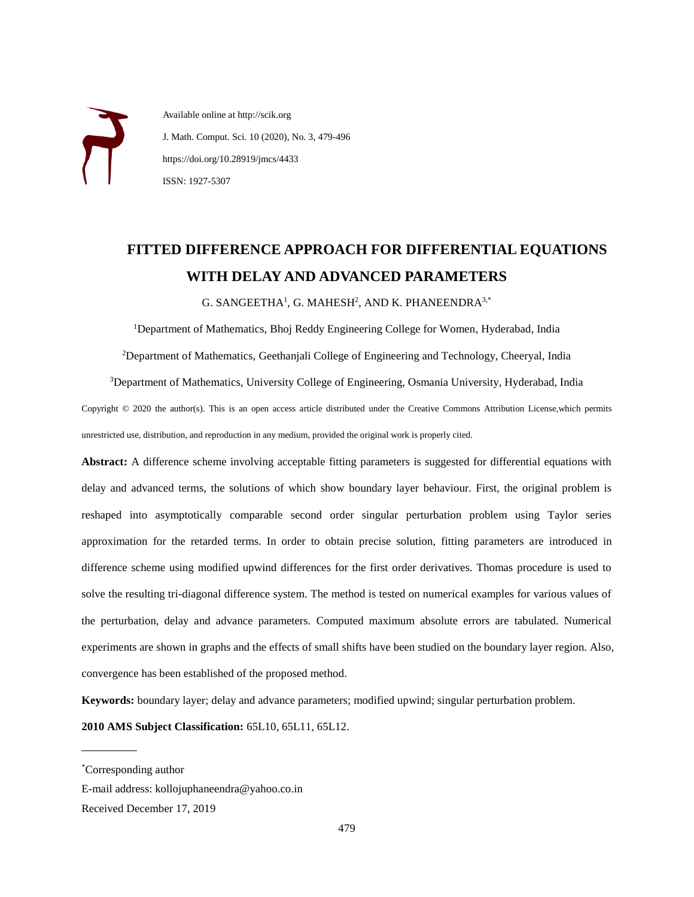Available online at http://scik.org J. Math. Comput. Sci. 10 (2020), No. 3, 479-496 https://doi.org/10.28919/jmcs/4433 ISSN: 1927-5307

# **FITTED DIFFERENCE APPROACH FOR DIFFERENTIAL EQUATIONS WITH DELAY AND ADVANCED PARAMETERS**

G. SANGEETHA<sup>1</sup> , G. MAHESH<sup>2</sup> , AND K. PHANEENDRA3,\*

<sup>1</sup>Department of Mathematics, Bhoj Reddy Engineering College for Women, Hyderabad, India

<sup>2</sup>Department of Mathematics, Geethanjali College of Engineering and Technology, Cheeryal, India

<sup>3</sup>Department of Mathematics, University College of Engineering, Osmania University, Hyderabad, India Copyright © 2020 the author(s). This is an open access article distributed under the Creative Commons Attribution License,which permits unrestricted use, distribution, and reproduction in any medium, provided the original work is properly cited.

**Abstract:** A difference scheme involving acceptable fitting parameters is suggested for differential equations with delay and advanced terms, the solutions of which show boundary layer behaviour. First, the original problem is reshaped into asymptotically comparable second order singular perturbation problem using Taylor series approximation for the retarded terms. In order to obtain precise solution, fitting parameters are introduced in difference scheme using modified upwind differences for the first order derivatives. Thomas procedure is used to solve the resulting tri-diagonal difference system. The method is tested on numerical examples for various values of the perturbation, delay and advance parameters. Computed maximum absolute errors are tabulated. Numerical experiments are shown in graphs and the effects of small shifts have been studied on the boundary layer region. Also, convergence has been established of the proposed method.

**Keywords:** boundary layer; delay and advance parameters; modified upwind; singular perturbation problem.

**2010 AMS Subject Classification:** 65L10, 65L11, 65L12.

 $\frac{1}{2}$ 

<sup>\*</sup>Corresponding author

E-mail address: kollojuphaneendra@yahoo.co.in

Received December 17, 2019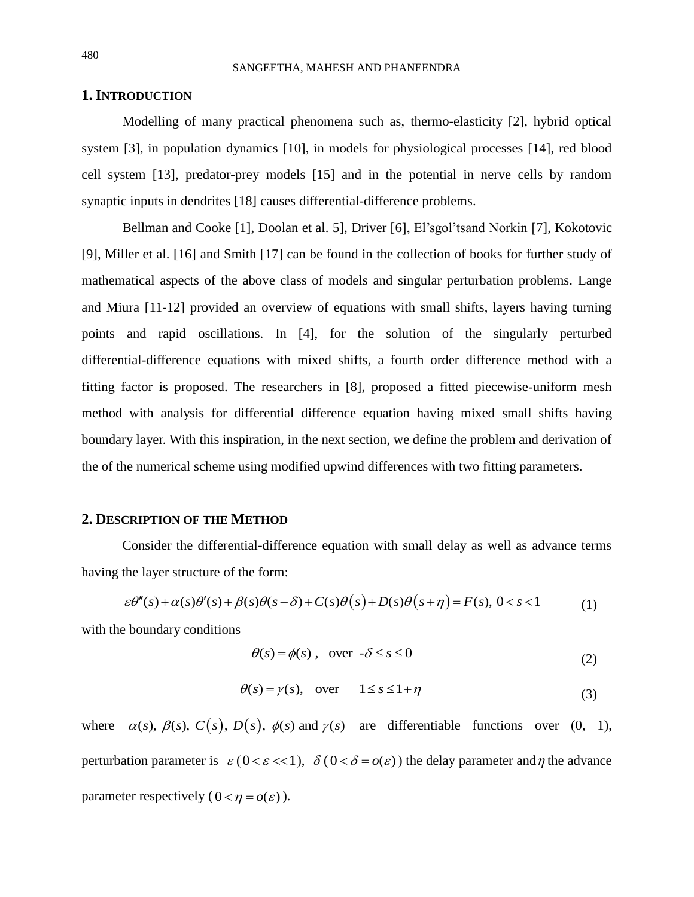## **1. INTRODUCTION**

Modelling of many practical phenomena such as, thermo-elasticity [2], hybrid optical system [3], in population dynamics [10], in models for physiological processes [14], red blood cell system [13], predator-prey models [15] and in the potential in nerve cells by random synaptic inputs in dendrites [18] causes differential-difference problems.

Bellman and Cooke [1], Doolan et al. 5], Driver [6], El'sgol'tsand Norkin [7], Kokotovic [9], Miller et al. [16] and Smith [17] can be found in the collection of books for further study of mathematical aspects of the above class of models and singular perturbation problems. Lange and Miura [11-12] provided an overview of equations with small shifts, layers having turning points and rapid oscillations. In [4], for the solution of the singularly perturbed differential-difference equations with mixed shifts, a fourth order difference method with a fitting factor is proposed. The researchers in [8], proposed a fitted piecewise-uniform mesh method with analysis for differential difference equation having mixed small shifts having boundary layer. With this inspiration, in the next section, we define the problem and derivation of the of the numerical scheme using modified upwind differences with two fitting parameters.

## **2. DESCRIPTION OF THE METHOD**

Consider the differential-difference equation with small delay as well as advance terms having the layer structure of the form: the layer structure of the form:<br>  $\varepsilon \theta''(s) + \alpha(s)\theta'(s) + \beta(s)\theta(s-\delta) + C(s)\theta(s) + D(s)\theta(s+\eta) = F(s), 0 < s < 1$ 

$$
\varepsilon \theta''(s) + \alpha(s)\theta'(s) + \beta(s)\theta(s-\delta) + C(s)\theta(s) + D(s)\theta(s+\eta) = F(s), 0 < s < 1
$$
 (1)

with the boundary conditions

$$
\theta(s) = \phi(s) , \quad \text{over } -\delta \le s \le 0
$$
 (2)

$$
\theta(s) = \gamma(s), \quad \text{over} \quad 1 \le s \le 1 + \eta \tag{3}
$$

where  $\alpha(s)$ ,  $\beta(s)$ ,  $C(s)$ ,  $D(s)$ ,  $\phi(s)$  and  $\gamma(s)$  are differentiable functions over (0, 1), perturbation parameter is  $\varepsilon (0 < \varepsilon < 1)$ ,  $\delta (0 < \delta = o(\varepsilon))$  the delay parameter and  $\eta$  the advance parameter respectively  $(0 < \eta = o(\varepsilon))$ .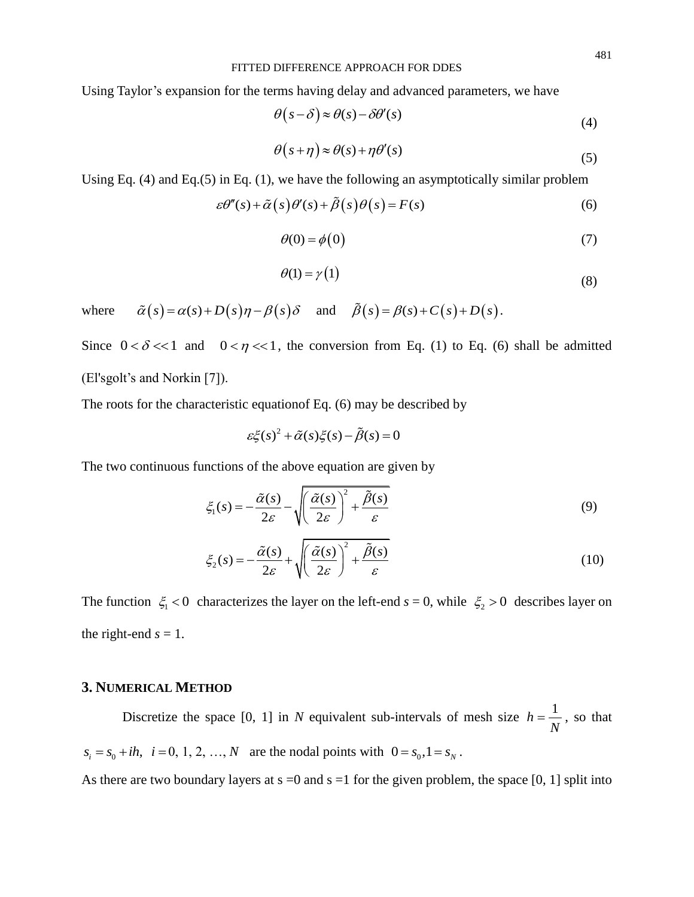### FITTED DIFFERENCE APPROACH FOR DDES

Using Taylor's expansion for the terms having delay and advanced parameters, we have

$$
\theta(s-\delta) \approx \theta(s) - \delta \theta'(s) \tag{4}
$$

$$
\theta(s+\eta) \approx \theta(s) + \eta \theta'(s) \tag{5}
$$

Using Eq. (4) and Eq.(5) in Eq. (1), we have the following an asymptotically similar problem<br>  $\varepsilon \theta''(s) + \tilde{\alpha}(s) \theta'(s) + \tilde{\beta}(s) \theta(s) = F(s)$  (ex-

$$
\varepsilon \theta''(s) + \tilde{\alpha}(s) \theta'(s) + \tilde{\beta}(s) \theta(s) = F(s)
$$
\n(6)

$$
\theta(0) = \phi(0) \tag{7}
$$

$$
\theta(1) = \gamma(1) \tag{8}
$$

where  $\tilde{\alpha}(s) = \alpha(s) + D(s)\eta - \beta(s)\delta$  and  $\tilde{\beta}(s) = \beta(s) + C(s) + D(s)$ .

Since  $0 < \delta \ll 1$  and  $0 < \eta \ll 1$ , the conversion from Eq. (1) to Eq. (6) shall be admitted (El'sgolt's and Norkin [7]).

The roots for the characteristic equationof Eq. (6) may be described by

$$
\varepsilon \xi(s)^2 + \tilde{\alpha}(s)\xi(s) - \tilde{\beta}(s) = 0
$$

The two continuous functions of the above equation are given by

$$
\xi_1(s) = -\frac{\tilde{\alpha}(s)}{2\varepsilon} - \sqrt{\left(\frac{\tilde{\alpha}(s)}{2\varepsilon}\right)^2 + \frac{\tilde{\beta}(s)}{\varepsilon}}\tag{9}
$$

$$
\xi_2(s) = -\frac{\tilde{\alpha}(s)}{2\varepsilon} + \sqrt{\left(\frac{\tilde{\alpha}(s)}{2\varepsilon}\right)^2 + \frac{\tilde{\beta}(s)}{\varepsilon}}
$$
(10)

The function  $\xi_1 < 0$  characterizes the layer on the left-end  $s = 0$ , while  $\xi_2 > 0$  describes layer on the right-end  $s = 1$ .

## **3. NUMERICAL METHOD**

Discretize the space [0, 1] in *N* equivalent sub-intervals of mesh size *N*  $h = \frac{1}{v}$ , so that  $s_i = s_0 + ih$ ,  $i = 0, 1, 2, ..., N$  are the nodal points with  $0 = s_0, 1 = s_N$ .

As there are two boundary layers at  $s = 0$  and  $s = 1$  for the given problem, the space [0, 1] split into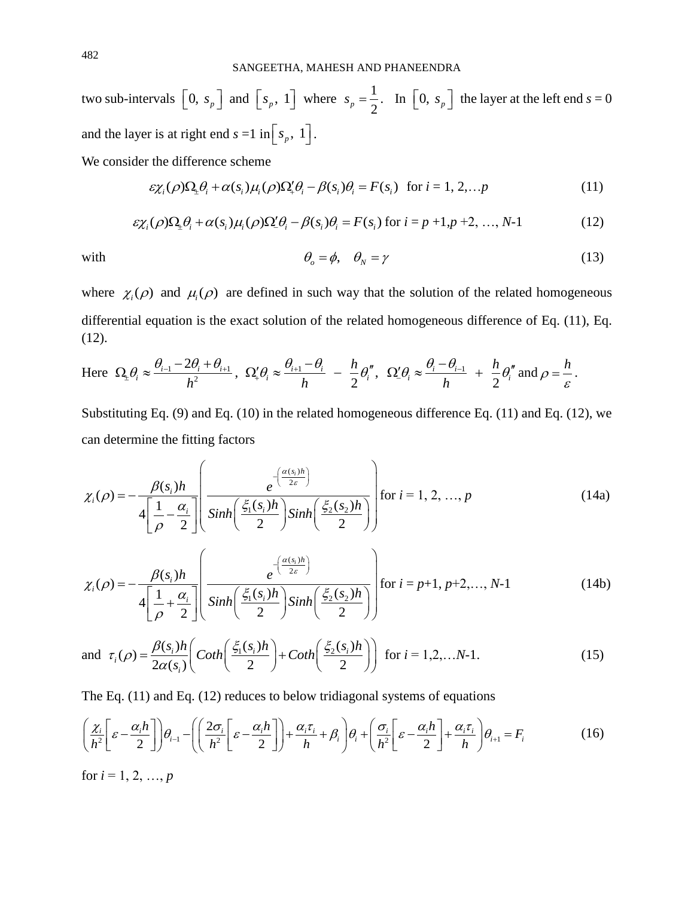two sub-intervals  $\begin{bmatrix} 0, s_p \end{bmatrix}$  and  $\begin{bmatrix} s_p, 1 \end{bmatrix}$  where  $s_p = \frac{1}{2}$  $s_p = \frac{1}{2}$ . In  $\lfloor 0, s_p \rfloor$  the layer at the left end  $s = 0$ and the layer is at right end  $s = 1$  in  $\left[ s_p, 1 \right]$ .

We consider the difference scheme  
\n
$$
\varepsilon \chi_i(\rho) \Omega_{\pm} \theta_i + \alpha(s_i) \mu_i(\rho) \Omega'_{+} \theta_i - \beta(s_i) \theta_i = F(s_i) \text{ for } i = 1, 2, ... p
$$
\n(11)

$$
\varepsilon \chi_i(\rho) \Omega_{\underline{v}} \theta_i + \alpha(s_i) \mu_i(\rho) \Omega_{\underline{v}}' \theta_i - \beta(s_i) \theta_i = F(s_i) \text{ for } i = p+1, p+2, ..., N-1
$$
 (12)

with

$$
\theta_o = \phi, \quad \theta_N = \gamma \tag{13}
$$

where  $\chi_i(\rho)$  and  $\mu_i(\rho)$  are defined in such way that the solution of the related homogeneous differential equation is the exact solution of the related homogeneous difference of Eq. (11), Eq. (12).

(12).  
\nHere 
$$
\Omega_{\pm}\theta_i \approx \frac{\theta_{i-1} - 2\theta_i + \theta_{i+1}}{h^2}
$$
,  $\Omega_{\pm}'\theta_i \approx \frac{\theta_{i+1} - \theta_i}{h} - \frac{h}{2}\theta_i''$ ,  $\Omega_{\pm}'\theta_i \approx \frac{\theta_i - \theta_{i-1}}{h} + \frac{h}{2}\theta_i''$  and  $\rho = \frac{h}{\varepsilon}$ .

Substituting Eq. (9) and Eq. (10) in the related homogeneous difference Eq. (11) and Eq. (12), we can determine the fitting factors

can determine the fitting factors  
\n
$$
\chi_i(\rho) = -\frac{\beta(s_i)h}{4\left[\frac{1}{\rho} - \frac{\alpha_i}{2}\right]} \left[\frac{e^{-\left(\frac{\alpha(s_i)h}{2\varepsilon}\right)}}{\sinh\left(\frac{\xi_1(s_i)h}{2}\right)\sinh\left(\frac{\xi_2(s_2)h}{2}\right)}\right]
$$
 for  $i = 1, 2, ..., p$  (14a)

$$
\begin{bmatrix}\n\rho & 2\n\end{bmatrix}\n\begin{bmatrix}\n2 & 3 & 4 \\
2 & 5 & 5\n\end{bmatrix}\n\begin{bmatrix}\n2 & 3 & 4 \\
2 & 5 & 6\n\end{bmatrix}
$$
\n
$$
\chi_{i}(\rho) = -\frac{\beta(s_{i})h}{4\left[\frac{1}{\rho} + \frac{\alpha_{i}}{2}\right]} \left[\frac{e^{-\left(\frac{\alpha(s_{i})h}{2\varepsilon}\right)}}{\sinh\left(\frac{\xi_{1}(s_{i})h}{2}\right)}\sinh\left(\frac{\xi_{2}(s_{2})h}{2}\right)\right]
$$
\nfor  $i = p+1, p+2, ..., N-1$  (14b)

$$
\lfloor \rho \rfloor \lfloor \sqrt{2} \rfloor \lfloor \sqrt{2} \rfloor
$$
\nand 
$$
\tau_i(\rho) = \frac{\beta(s_i)h}{2\alpha(s_i)} \left( \text{Coth}\left(\frac{\xi_1(s_i)h}{2}\right) + \text{Coth}\left(\frac{\xi_2(s_i)h}{2}\right) \right) \text{ for } i = 1, 2, \dots N-1.
$$
\n(15)

The Eq. (11) and Eq. (12) reduces to below tridiagonal systems of equations\n
$$
\left(\frac{\chi_i}{h^2}\left[\varepsilon - \frac{\alpha_i h}{2}\right]\right)\theta_{i-1} - \left(\left(\frac{2\sigma_i}{h^2}\left[\varepsilon - \frac{\alpha_i h}{2}\right]\right) + \frac{\alpha_i \tau_i}{h} + \beta_i\right)\theta_i + \left(\frac{\sigma_i}{h^2}\left[\varepsilon - \frac{\alpha_i h}{2}\right] + \frac{\alpha_i \tau_i}{h}\right)\theta_{i+1} = F_i
$$
\n(16)

for  $i = 1, 2, ..., p$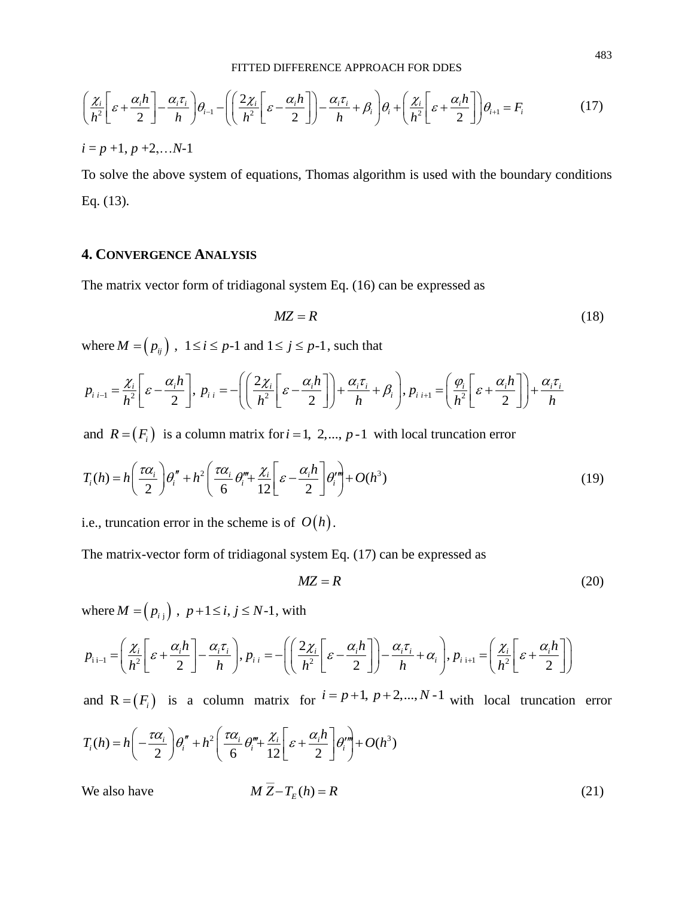FTTED DIFFERENCE APPROACH FOR DDES\n
$$
\left(\frac{\chi_i}{h^2} \left[\varepsilon + \frac{\alpha_i h}{2}\right] - \frac{\alpha_i \tau_i}{h}\right) \theta_{i-1} - \left(\left(\frac{2\chi_i}{h^2} \left[\varepsilon - \frac{\alpha_i h}{2}\right]\right) - \frac{\alpha_i \tau_i}{h} + \beta_i\right) \theta_i + \left(\frac{\chi_i}{h^2} \left[\varepsilon + \frac{\alpha_i h}{2}\right]\right) \theta_{i+1} = F_i
$$
\n(17)

 $i = p +1, p +2,...N-1$ 

To solve the above system of equations, Thomas algorithm is used with the boundary conditions Eq. (13).

## **4. CONVERGENCE ANALYSIS**

The matrix vector form of tridiagonal system Eq. (16) can be expressed as

$$
MZ = R \tag{18}
$$

where  $M = (p_{ij})$ ,  $1 \le i \le p-1$  and  $1 \le j \le p-1$ , such that

$$
WZ = K
$$
\nwhere  $M = (p_{ij})$ ,  $1 \le i \le p-1$  and  $1 \le j \le p-1$ , such that

\n
$$
p_{i,i-1} = \frac{\chi_i}{h^2} \left[ \varepsilon - \frac{\alpha_i h}{2} \right], \quad p_{i,i} = -\left( \left( \frac{2\chi_i}{h^2} \left[ \varepsilon - \frac{\alpha_i h}{2} \right] \right) + \frac{\alpha_i \tau_i}{h} + \beta_i \right), \quad p_{i,i+1} = \left( \frac{\varphi_i}{h^2} \left[ \varepsilon + \frac{\alpha_i h}{2} \right] \right) + \frac{\alpha_i \tau_i}{h}
$$
\n(16)

and 
$$
R = (F_i)
$$
 is a column matrix for  $i = 1, 2, ..., p-1$  with local truncation error  
\n
$$
T_i(h) = h\left(\frac{\tau\alpha_i}{2}\right)\theta_i'' + h^2\left(\frac{\tau\alpha_i}{6}\theta_i'' + \frac{\chi_i}{12}\left[\varepsilon - \frac{\alpha_i h}{2}\right]\theta_i'' + O(h^3)
$$
\n(19)

i.e., truncation error in the scheme is of  $O(h)$ .

The matrix-vector form of tridiagonal system Eq. (17) can be expressed as

$$
MZ = R \tag{20}
$$

where  $M = (p_{ij})$ ,  $p+1 \le i, j \le N-1$ , with

$$
MZ = K
$$
\n(20)  
\nwhere  $M = (p_{ij})$ ,  $p+1 \le i, j \le N-1$ , with\n
$$
p_{ii-1} = \left(\frac{\chi_i}{h^2} \left[\varepsilon + \frac{\alpha_i h}{2}\right] - \frac{\alpha_i \tau_i}{h}\right), p_{ii} = -\left(\left(\frac{2\chi_i}{h^2} \left[\varepsilon - \frac{\alpha_i h}{2}\right]\right) - \frac{\alpha_i \tau_i}{h} + \alpha_i\right), p_{i+1} = \left(\frac{\chi_i}{h^2} \left[\varepsilon + \frac{\alpha_i h}{2}\right]\right)
$$

and  $R = (F_i)$  is a column matrix for  $i = p+1, p+2,..., N-1$  with local truncation error

and R = 
$$
(F_i)
$$
 is a column matrix for  $l = p+1, p+2, ..., l$   
\n
$$
T_i(h) = h\left(-\frac{\tau\alpha_i}{2}\right)\theta_i'' + h^2\left(\frac{\tau\alpha_i}{6}\theta_i'' + \frac{\chi_i}{12}\left[\varepsilon + \frac{\alpha_i h}{2}\right]\theta_i''\right) + O(h^3)
$$

We also have *M Z* − *E*

$$
M\overline{Z} - T_E(h) = R \tag{21}
$$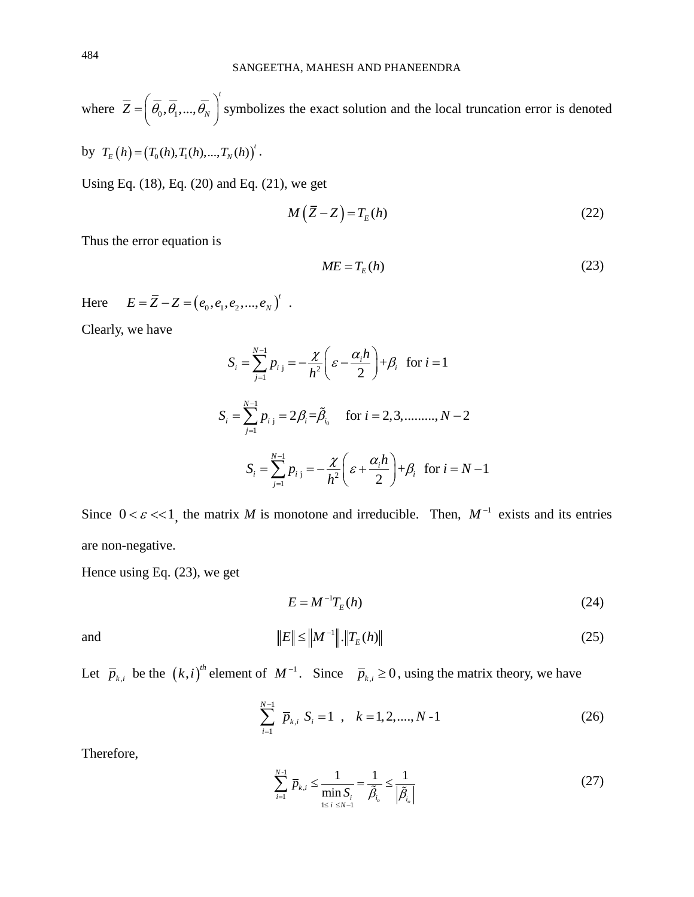where  $\overline{Z} = \left(\overline{\theta}_0, \overline{\theta}_1, ..., \overline{\theta}_N\right)^t$  s  $=$   $\left( \theta_0, \theta_1, ..., \theta_N \right)$  symbolizes the exact solution and the local truncation error is denoted

by  $T_E(h) = (T_0(h), T_1(h), ..., T_N(h))^t$ .

Using Eq.  $(18)$ , Eq.  $(20)$  and Eq.  $(21)$ , we get

$$
M(\bar{Z}-Z)=T_E(h) \tag{22}
$$

Thus the error equation is

$$
ME = T_E(h) \tag{23}
$$

Here  $E = \overline{Z} - Z = (e_0, e_1, e_2, ..., e_N)^t$ .

Clearly, we have

$$
S_{i} = \sum_{j=1}^{N-1} p_{i j} = -\frac{\chi}{h^{2}} \left( \varepsilon - \frac{\alpha_{i} h}{2} \right) + \beta_{i} \text{ for } i = 1
$$
  

$$
S_{i} = \sum_{j=1}^{N-1} p_{i j} = 2\beta_{i} = \tilde{\beta}_{i_{0}} \text{ for } i = 2, 3, \dots, N-2
$$
  

$$
S_{i} = \sum_{j=1}^{N-1} p_{i j} = -\frac{\chi}{h^{2}} \left( \varepsilon + \frac{\alpha_{i} h}{2} \right) + \beta_{i} \text{ for } i = N-1
$$

Since  $0 < \varepsilon < 1$ , the matrix *M* is monotone and irreducible. Then,  $M^{-1}$  exists and its entries are non-negative.

Hence using Eq. (23), we get

$$
E = M^{-1}T_E(h) \tag{24}
$$

and

$$
||E|| \le ||M^{-1}|| \cdot ||T_E(h)|| \tag{25}
$$

Let  $\overline{p}_{k,i}$  be the  $(k,i)^{th}$  element of  $M^{-1}$ . Since  $\overline{p}_{k,i} \ge 0$ , using the matrix theory, we have

$$
\sum_{i=1}^{N-1} \overline{p}_{k,i} S_i = 1 , k = 1, 2, \dots, N-1
$$
 (26)

Therefore,

$$
\sum_{i=1}^{N-1} \overline{p}_{k,i} \le \frac{1}{\min_{1 \le i \le N-1} S_i} = \frac{1}{\tilde{\beta}_i} \le \frac{1}{\left| \tilde{\beta}_i \right|} \tag{27}
$$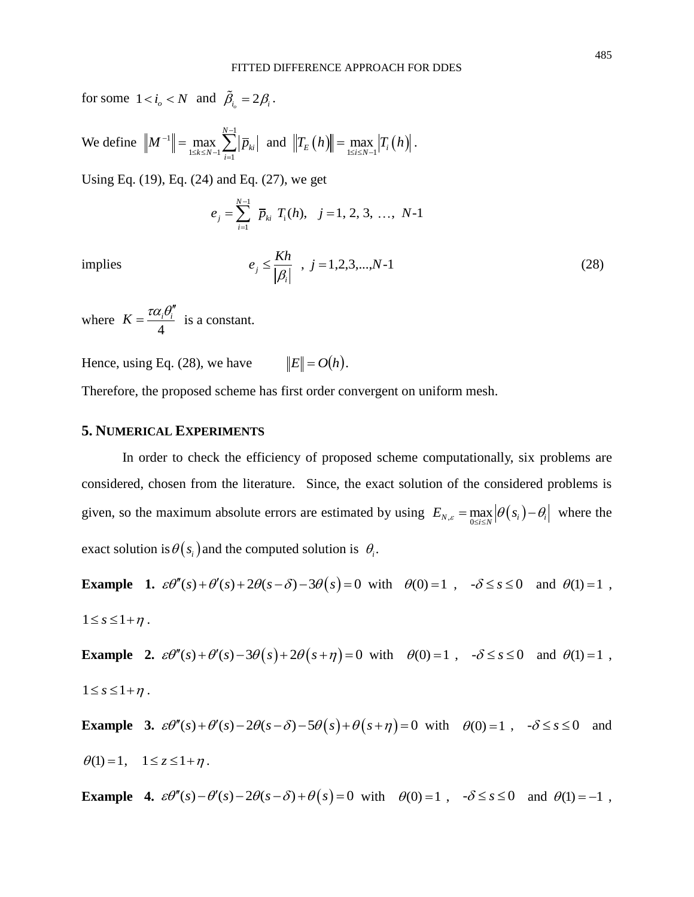for some  $1 < i_0 < N$  and  $\hat{\beta}_{i_0} = 2\beta_i$ .

We define 
$$
||M^{-1}|| = \max_{1 \le k \le N-1} \sum_{i=1}^{N-1} |\overline{p}_{ki}|
$$
 and  $||T_E(h)|| = \max_{1 \le i \le N-1} |T_i(h)|$ .

Using Eq. (19), Eq. (24) and Eq. (27), we get

$$
e_j = \sum_{i=1}^{N-1} \overline{p}_{ki} T_i(h), \quad j = 1, 2, 3, ..., N-1
$$

implies 
$$
e_j \le \frac{Kh}{|\beta_i|}, j = 1, 2, 3, ..., N-1
$$
 (28)

where 4  $K = \frac{\mu \alpha_i \sigma_i}{4}$  $\tau \alpha_i \theta_i''$  $=\frac{\mu u_i v_i}{4}$  is a constant.

Hence, using Eq. (28), we have  $||E|| = O(h).$ 

Therefore, the proposed scheme has first order convergent on uniform mesh.

## **5. NUMERICAL EXPERIMENTS**

In order to check the efficiency of proposed scheme computationally, six problems are considered, chosen from the literature. Since, the exact solution of the considered problems is given, so the maximum absolute errors are estimated by using  $E_{N,\varepsilon} = \max_{0 \le i \le N} |\theta(s_i) - \theta_i|$  where the exact solution is  $\theta(s_i)$  and the computed solution is  $\theta_i$ .

**Example 1.**  $\varepsilon \theta''(s) + \theta'(s) + 2\theta(s - \delta) - 3\theta(s) = 0$  with  $\theta(0) = 1$ ,  $-\delta \le s \le 0$  and  $\theta(1) = 1$ ,  $1 \leq s \leq 1 + \eta$ .

**Example 2.**  $\varepsilon \theta''(s) + \theta'(s) - 3\theta(s) + 2\theta(s + \eta) = 0$  with  $\theta(0) = 1$ ,  $-\delta \le s \le 0$  and  $\theta(1) = 1$ ,  $1 \leq s \leq 1 + \eta$ .

**Example 3.**  $\varepsilon \theta''(s) + \theta'(s) - 2\theta(s - \delta) - 5\theta(s) + \theta(s + \eta) = 0$  with  $\theta(0) = 1$ ,  $-\delta \le s \le 0$  and  $\theta(1) = 1, \quad 1 \leq z \leq 1 + \eta$ .

**Example 4.**  $\varepsilon \theta''(s) - \theta'(s) - 2\theta(s - \delta) + \theta(s) = 0$  with  $\theta(0) = 1$ ,  $-\delta \le s \le 0$  and  $\theta(1) = -1$ ,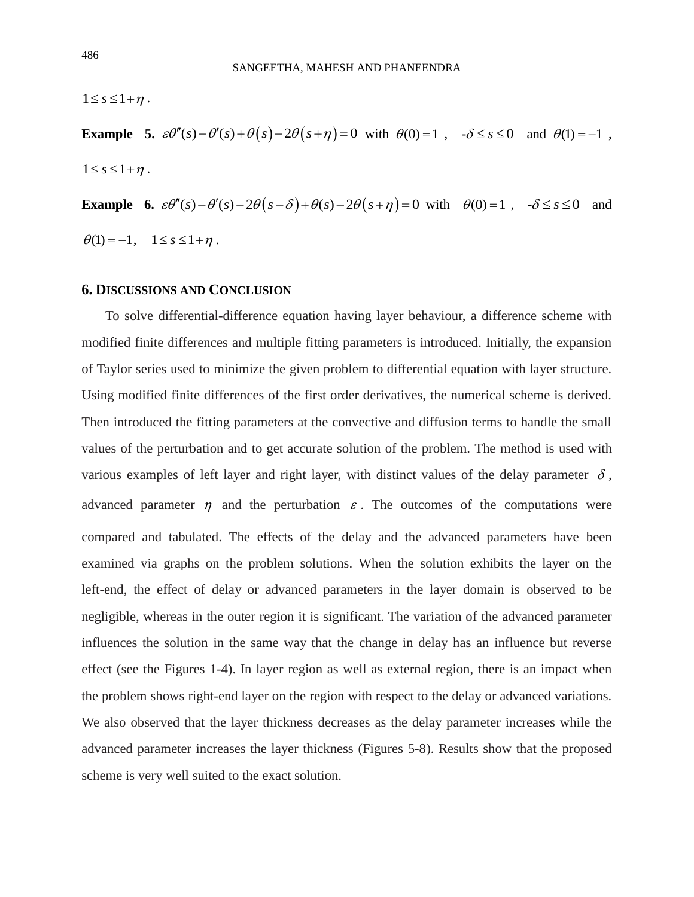$1 \leq s \leq 1 + n$ .

**Example 5.**  $\varepsilon \theta''(s) - \theta'(s) + \theta(s) - 2\theta(s + \eta) = 0$  with  $\theta(0) = 1$ ,  $-\delta \le s \le 0$  and  $\theta(1) = -1$ ,  $1 \leq s \leq 1 + n$ .

**Example 6.**  $\varepsilon \theta''(s) - \theta'(s) - 2\theta(s-\delta) + \theta(s) - 2\theta(s+\eta) = 0$  with  $\theta(0) = 1$ ,  $-\delta \le s \le 0$  and  $\theta(1) = -1, \quad 1 \leq s \leq 1 + \eta$ .

#### **6. DISCUSSIONS AND CONCLUSION**

To solve differential-difference equation having layer behaviour, a difference scheme with modified finite differences and multiple fitting parameters is introduced. Initially, the expansion of Taylor series used to minimize the given problem to differential equation with layer structure. Using modified finite differences of the first order derivatives, the numerical scheme is derived. Then introduced the fitting parameters at the convective and diffusion terms to handle the small values of the perturbation and to get accurate solution of the problem. The method is used with various examples of left layer and right layer, with distinct values of the delay parameter  $\delta$ , advanced parameter  $\eta$  and the perturbation  $\varepsilon$ . The outcomes of the computations were compared and tabulated. The effects of the delay and the advanced parameters have been examined via graphs on the problem solutions. When the solution exhibits the layer on the left-end, the effect of delay or advanced parameters in the layer domain is observed to be negligible, whereas in the outer region it is significant. The variation of the advanced parameter influences the solution in the same way that the change in delay has an influence but reverse effect (see the Figures 1-4). In layer region as well as external region, there is an impact when the problem shows right-end layer on the region with respect to the delay or advanced variations. We also observed that the layer thickness decreases as the delay parameter increases while the advanced parameter increases the layer thickness (Figures 5-8). Results show that the proposed scheme is very well suited to the exact solution.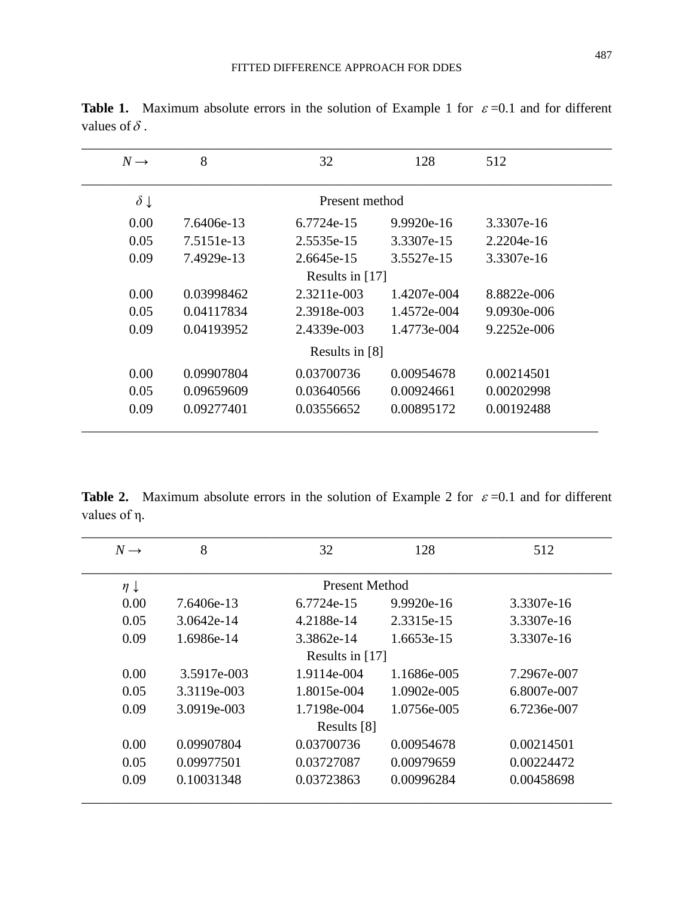| $N \rightarrow$     | 8          | 32                | 128         | 512          |
|---------------------|------------|-------------------|-------------|--------------|
| $\delta \downarrow$ |            | Present method    |             |              |
| 0.00                | 7.6406e-13 | 6.7724e-15        | 9.9920e-16  | 3.3307e-16   |
| 0.05                | 7.5151e-13 | 2.5535e-15        | 3.3307e-15  | $2.2204e-16$ |
| 0.09                | 7.4929e-13 | 2.6645e-15        | 3.5527e-15  | 3.3307e-16   |
|                     |            | Results in $[17]$ |             |              |
| 0.00                | 0.03998462 | 2.3211e-003       | 1.4207e-004 | 8.8822e-006  |
| 0.05                | 0.04117834 | 2.3918e-003       | 1.4572e-004 | 9.0930e-006  |
| 0.09                | 0.04193952 | 2.4339e-003       | 1.4773e-004 | 9.2252e-006  |
|                     |            | Results in [8]    |             |              |
| 0.00                | 0.09907804 | 0.03700736        | 0.00954678  | 0.00214501   |
| 0.05                | 0.09659609 | 0.03640566        | 0.00924661  | 0.00202998   |
| 0.09                | 0.09277401 | 0.03556652        | 0.00895172  | 0.00192488   |

**Table 1.** Maximum absolute errors in the solution of Example 1 for  $\varepsilon = 0.1$  and for different values of  $\delta$ .

**Table 2.** Maximum absolute errors in the solution of Example 2 for  $\varepsilon = 0.1$  and for different values of η.

| $N \rightarrow$   | 8           | 32                | 128          | 512         |
|-------------------|-------------|-------------------|--------------|-------------|
| $\eta \downarrow$ |             | Present Method    |              |             |
| 0.00              | 7.6406e-13  | 6.7724e-15        | $9.9920e-16$ | 3.3307e-16  |
| 0.05              | 3.0642e-14  | 4.2188e-14        | 2.3315e-15   | 3.3307e-16  |
| 0.09              | 1.6986e-14  | 3.3862e-14        | 1.6653e-15   | 3.3307e-16  |
|                   |             | Results in $[17]$ |              |             |
| 0.00              | 3.5917e-003 | 1.9114e-004       | 1.1686e-005  | 7.2967e-007 |
| 0.05              | 3.3119e-003 | 1.8015e-004       | 1.0902e-005  | 6.8007e-007 |
| 0.09              | 3.0919e-003 | 1.7198e-004       | 1.0756e-005  | 6.7236e-007 |
|                   |             | Results [8]       |              |             |
| 0.00              | 0.09907804  | 0.03700736        | 0.00954678   | 0.00214501  |
| 0.05              | 0.09977501  | 0.03727087        | 0.00979659   | 0.00224472  |
| 0.09              | 0.10031348  | 0.03723863        | 0.00996284   | 0.00458698  |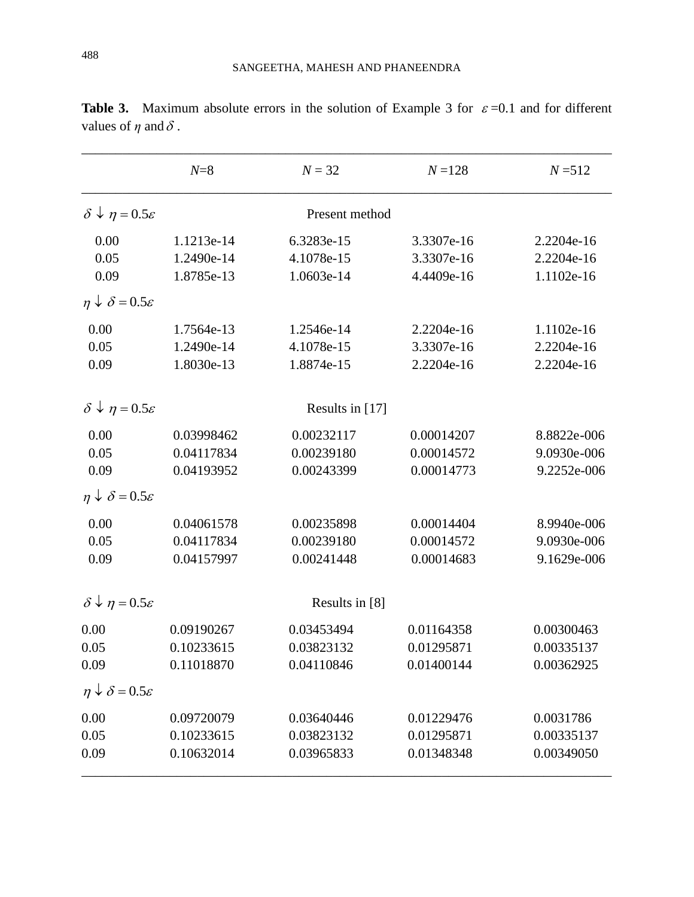|                                            | $N=8$      | $N = 32$        | $N = 128$  | $N = 512$   |
|--------------------------------------------|------------|-----------------|------------|-------------|
| $\delta \downarrow \eta = 0.5\varepsilon$  |            | Present method  |            |             |
| 0.00                                       | 1.1213e-14 | 6.3283e-15      | 3.3307e-16 | 2.2204e-16  |
| 0.05                                       | 1.2490e-14 | 4.1078e-15      | 3.3307e-16 | 2.2204e-16  |
| 0.09                                       | 1.8785e-13 | 1.0603e-14      | 4.4409e-16 | 1.1102e-16  |
| $\eta \downarrow \delta = 0.5 \varepsilon$ |            |                 |            |             |
| 0.00                                       | 1.7564e-13 | 1.2546e-14      | 2.2204e-16 | 1.1102e-16  |
| 0.05                                       | 1.2490e-14 | 4.1078e-15      | 3.3307e-16 | 2.2204e-16  |
| 0.09                                       | 1.8030e-13 | 1.8874e-15      | 2.2204e-16 | 2.2204e-16  |
| $\delta \downarrow \eta = 0.5 \varepsilon$ |            | Results in [17] |            |             |
| 0.00                                       | 0.03998462 | 0.00232117      | 0.00014207 | 8.8822e-006 |
| 0.05                                       | 0.04117834 | 0.00239180      | 0.00014572 | 9.0930e-006 |
| 0.09                                       | 0.04193952 | 0.00243399      | 0.00014773 | 9.2252e-006 |
| $\eta \downarrow \delta = 0.5 \varepsilon$ |            |                 |            |             |
| 0.00                                       | 0.04061578 | 0.00235898      | 0.00014404 | 8.9940e-006 |
| 0.05                                       | 0.04117834 | 0.00239180      | 0.00014572 | 9.0930e-006 |
| 0.09                                       | 0.04157997 | 0.00241448      | 0.00014683 | 9.1629e-006 |
| $\delta \downarrow \eta = 0.5 \varepsilon$ |            | Results in [8]  |            |             |
| 0.00                                       | 0.09190267 | 0.03453494      | 0.01164358 | 0.00300463  |
| 0.05                                       | 0.10233615 | 0.03823132      | 0.01295871 | 0.00335137  |
| 0.09                                       | 0.11018870 | 0.04110846      | 0.01400144 | 0.00362925  |
| $\eta \downarrow \delta = 0.5 \varepsilon$ |            |                 |            |             |
| 0.00                                       | 0.09720079 | 0.03640446      | 0.01229476 | 0.0031786   |
| 0.05                                       | 0.10233615 | 0.03823132      | 0.01295871 | 0.00335137  |
| 0.09                                       | 0.10632014 | 0.03965833      | 0.01348348 | 0.00349050  |

**Table 3.** Maximum absolute errors in the solution of Example 3 for  $\varepsilon = 0.1$  and for different values of  $\eta$  and  $\delta$ .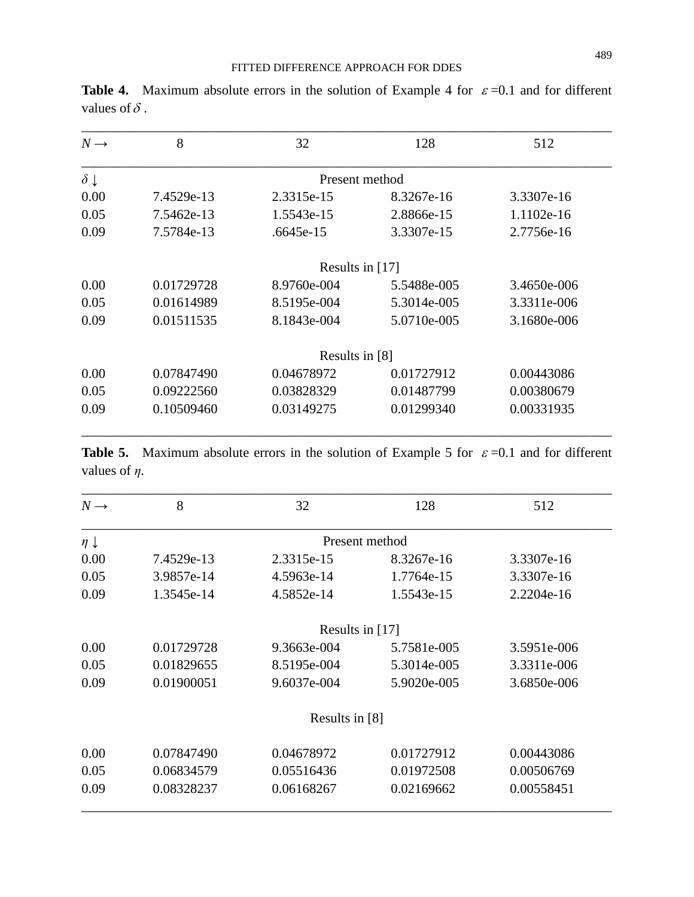| $N \rightarrow$     | 8          | 32              | 128         | 512         |
|---------------------|------------|-----------------|-------------|-------------|
| $\delta \downarrow$ |            | Present method  |             |             |
| 0.00                | 7.4529e-13 | 2.3315e-15      | 8.3267e-16  | 3.3307e-16  |
| 0.05                | 7.5462e-13 | 1.5543e-15      | 2.8866e-15  | 1.1102e-16  |
| 0.09                | 7.5784e-13 | .6645e-15       | 3.3307e-15  | 2.7756e-16  |
|                     |            | Results in [17] |             |             |
| 0.00                | 0.01729728 | 8.9760e-004     | 5.5488e-005 | 3.4650e-006 |
| 0.05                | 0.01614989 | 8.5195e-004     | 5.3014e-005 | 3.3311e-006 |
| 0.09                | 0.01511535 | 8.1843e-004     | 5.0710e-005 | 3.1680e-006 |
|                     |            | Results in [8]  |             |             |
| 0.00                | 0.07847490 | 0.04678972      | 0.01727912  | 0.00443086  |
| 0.05                | 0.09222560 | 0.03828329      | 0.01487799  | 0.00380679  |
| 0.09                | 0.10509460 | 0.03149275      | 0.01299340  | 0.00331935  |

**Table 4.** Maximum absolute errors in the solution of Example 4 for  $\varepsilon = 0.1$  and for different values of  $\delta$ .

**Table 5.** Maximum absolute errors in the solution of Example 5 for  $\varepsilon = 0.1$  and for different values of *η.*

\_\_\_\_\_\_\_\_\_\_\_\_\_\_\_\_\_\_\_\_\_\_\_\_*\_\_\_\_\_\_\_\_\_\_\_\_\_\_\_\_\_\_\_\_\_\_\_\_\_\_\_\_\_\_\_\_\_\_\_\_\_\_\_\_\_\_\_\_\_\_\_\_\_\_\_\_\_\_*

| $N \rightarrow$   | 8          | 32                | 128            | 512         |
|-------------------|------------|-------------------|----------------|-------------|
| $\eta \downarrow$ |            |                   | Present method |             |
| 0.00              | 7.4529e-13 | 2.3315e-15        | 8.3267e-16     | 3.3307e-16  |
| 0.05              | 3.9857e-14 | 4.5963e-14        | 1.7764e-15     | 3.3307e-16  |
| 0.09              | 1.3545e-14 | 4.5852e-14        | 1.5543e-15     | 2.2204e-16  |
|                   |            | Results in $[17]$ |                |             |
| 0.00              | 0.01729728 | 9.3663e-004       | 5.7581e-005    | 3.5951e-006 |
| 0.05              | 0.01829655 | 8.5195e-004       | 5.3014e-005    | 3.3311e-006 |
| 0.09              | 0.01900051 | 9.6037e-004       | 5.9020e-005    | 3.6850e-006 |
|                   |            | Results in [8]    |                |             |
| 0.00              | 0.07847490 | 0.04678972        | 0.01727912     | 0.00443086  |
| 0.05              | 0.06834579 | 0.05516436        | 0.01972508     | 0.00506769  |
| 0.09              | 0.08328237 | 0.06168267        | 0.02169662     | 0.00558451  |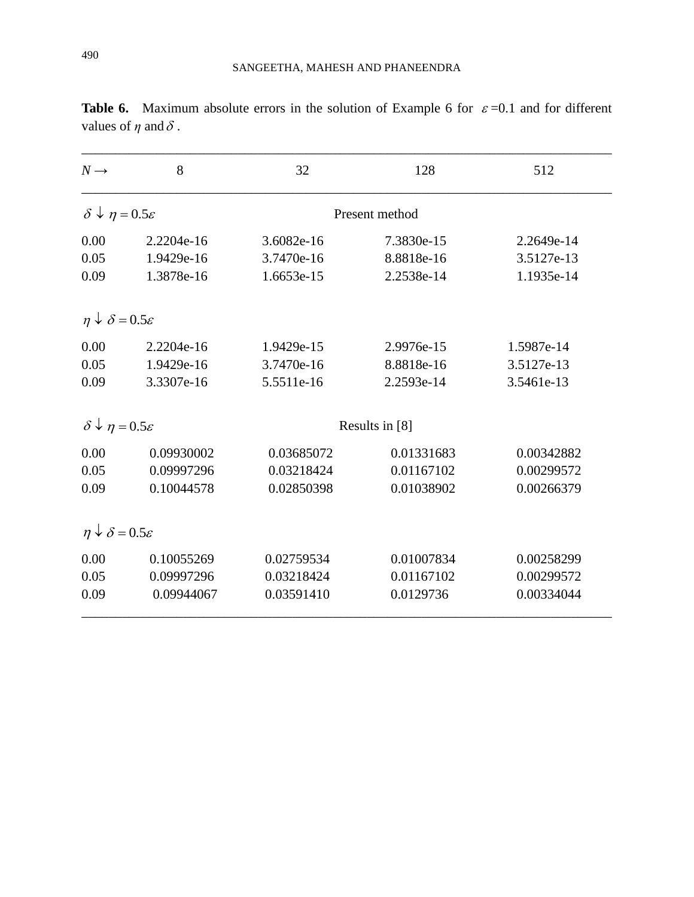| $N \rightarrow$                            | 8          | 32         | 128            | 512        |
|--------------------------------------------|------------|------------|----------------|------------|
| $\delta \downarrow \eta = 0.5 \varepsilon$ |            |            | Present method |            |
| 0.00                                       | 2.2204e-16 | 3.6082e-16 | 7.3830e-15     | 2.2649e-14 |
| 0.05                                       | 1.9429e-16 | 3.7470e-16 | 8.8818e-16     | 3.5127e-13 |
| 0.09                                       | 1.3878e-16 | 1.6653e-15 | 2.2538e-14     | 1.1935e-14 |
| $\eta \downarrow \delta = 0.5 \varepsilon$ |            |            |                |            |
| 0.00                                       | 2.2204e-16 | 1.9429e-15 | 2.9976e-15     | 1.5987e-14 |
| 0.05                                       | 1.9429e-16 | 3.7470e-16 | 8.8818e-16     | 3.5127e-13 |
| 0.09                                       | 3.3307e-16 | 5.5511e-16 | 2.2593e-14     | 3.5461e-13 |
| $\delta \downarrow \eta = 0.5 \varepsilon$ |            |            | Results in [8] |            |
| 0.00                                       | 0.09930002 | 0.03685072 | 0.01331683     | 0.00342882 |
| 0.05                                       | 0.09997296 | 0.03218424 | 0.01167102     | 0.00299572 |
| 0.09                                       | 0.10044578 | 0.02850398 | 0.01038902     | 0.00266379 |
| $\eta \downarrow \delta = 0.5 \varepsilon$ |            |            |                |            |
| 0.00                                       | 0.10055269 | 0.02759534 | 0.01007834     | 0.00258299 |
| 0.05                                       | 0.09997296 | 0.03218424 | 0.01167102     | 0.00299572 |
| 0.09                                       | 0.09944067 | 0.03591410 | 0.0129736      | 0.00334044 |

**Table 6.** Maximum absolute errors in the solution of Example 6 for  $\varepsilon = 0.1$  and for different values of  $\eta$  and  $\delta$ .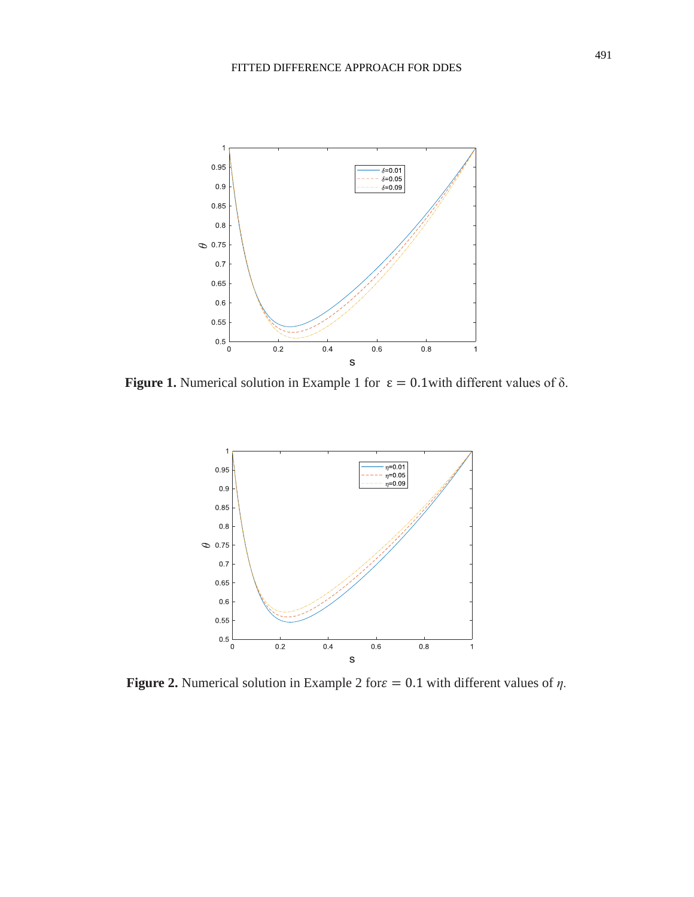

**Figure 1.** Numerical solution in Example 1 for  $\varepsilon = 0.1$  with different values of  $\delta$ .



**Figure 2.** Numerical solution in Example 2 for  $\varepsilon = 0.1$  with different values of  $\eta$ .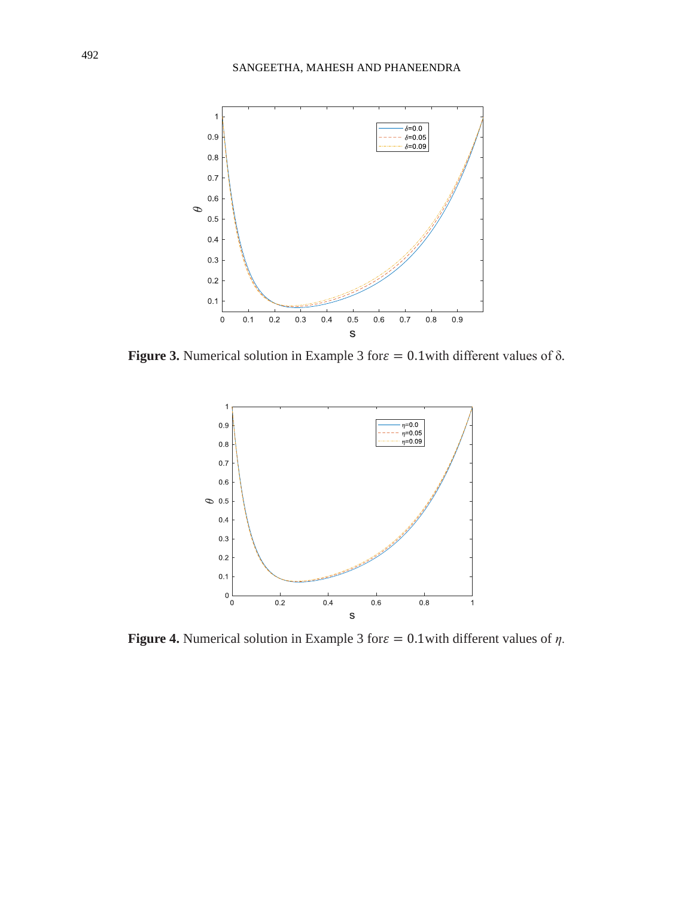

**Figure 3.** Numerical solution in Example 3 for  $\varepsilon = 0.1$  with different values of  $\delta$ .



**Figure 4.** Numerical solution in Example 3 for  $\varepsilon = 0.1$  with different values of  $\eta$ .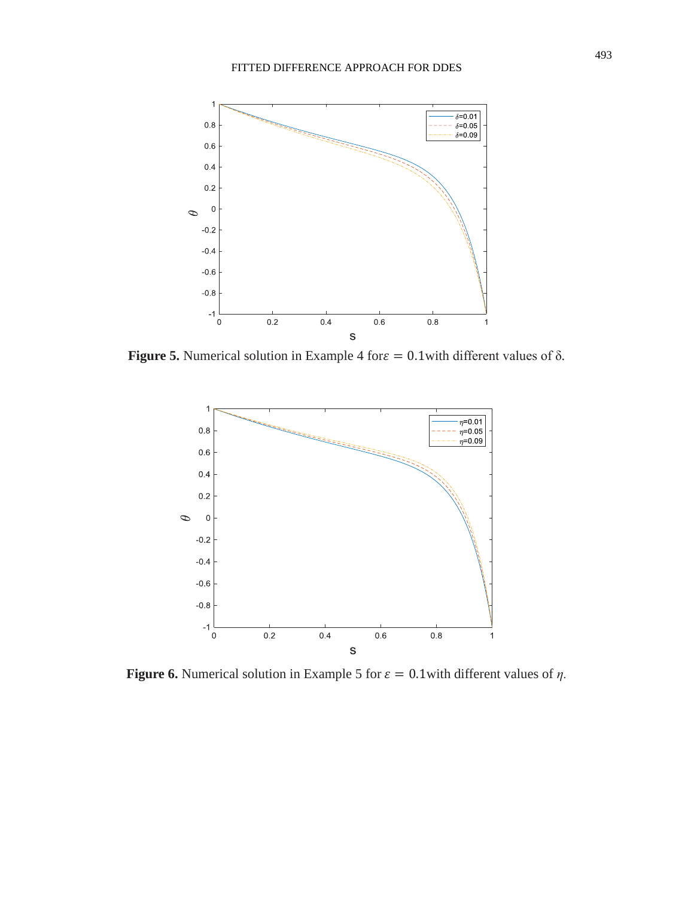

**Figure 5.** Numerical solution in Example 4 for  $\varepsilon = 0.1$  with different values of  $\delta$ .



**Figure 6.** Numerical solution in Example 5 for  $\varepsilon = 0.1$  with different values of  $\eta$ .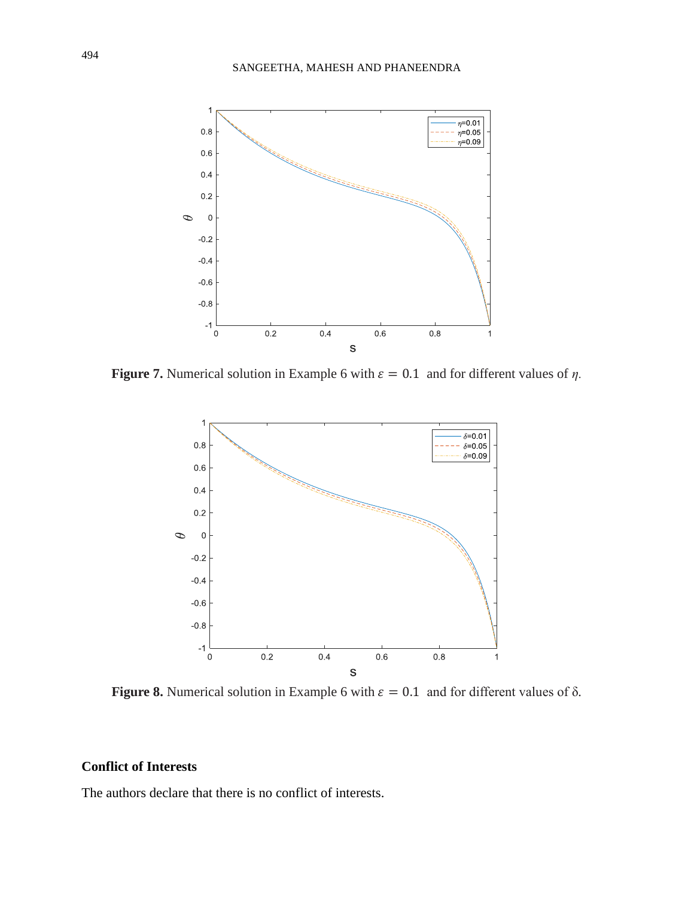

**Figure 7.** Numerical solution in Example 6 with  $\varepsilon = 0.1$  and for different values of  $\eta$ .



**Figure 8.** Numerical solution in Example 6 with  $\varepsilon = 0.1$  and for different values of  $\delta$ .

## **Conflict of Interests**

The authors declare that there is no conflict of interests.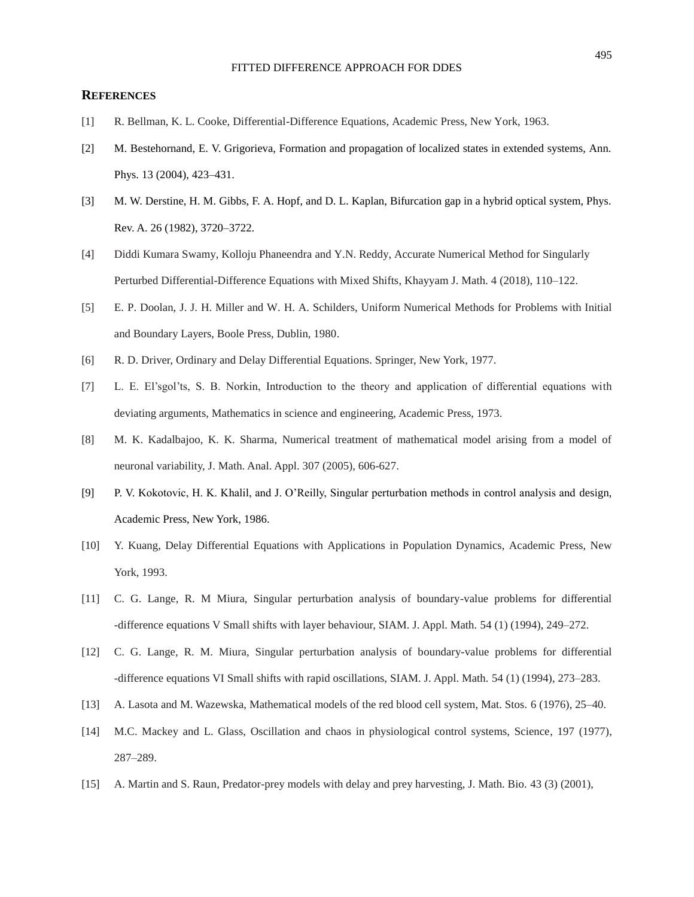#### **REFERENCES**

- [1] R. Bellman, K. L. Cooke, Differential-Difference Equations, Academic Press, New York, 1963.
- [2] M. Bestehornand, E. V. Grigorieva, Formation and propagation of localized states in extended systems, Ann. Phys. 13 (2004), 423–431.
- [3] M. W. Derstine, H. M. Gibbs, F. A. Hopf, and D. L. Kaplan, Bifurcation gap in a hybrid optical system, Phys. Rev. A. 26 (1982), 3720–3722.
- [4] Diddi Kumara Swamy, Kolloju Phaneendra and Y.N. Reddy, Accurate Numerical Method for Singularly Perturbed Differential-Difference Equations with Mixed Shifts, Khayyam J. Math. 4 (2018), 110–122.
- [5] E. P. Doolan, J. J. H. Miller and W. H. A. Schilders, Uniform Numerical Methods for Problems with Initial and Boundary Layers, Boole Press, Dublin, 1980.
- [6] R. D. Driver, Ordinary and Delay Differential Equations. Springer, New York, 1977.
- [7] L. E. El'sgol'ts, S. B. Norkin, Introduction to the theory and application of differential equations with deviating arguments, Mathematics in science and engineering, Academic Press, 1973.
- [8] M. K. Kadalbajoo, K. K. Sharma, Numerical treatment of mathematical model arising from a model of neuronal variability, J. Math. Anal. Appl. 307 (2005), 606-627.
- [9] P. V. Kokotovic, H. K. Khalil, and J. O'Reilly, Singular perturbation methods in control analysis and design, Academic Press, New York, 1986.
- [10] Y. Kuang, Delay Differential Equations with Applications in Population Dynamics, Academic Press, New York, 1993.
- [11] C. G. Lange, R. M Miura, Singular perturbation analysis of boundary-value problems for differential -difference equations V Small shifts with layer behaviour, SIAM. J. Appl. Math. 54 (1) (1994), 249–272.
- [12] C. G. Lange, R. M. Miura, Singular perturbation analysis of boundary-value problems for differential -difference equations VI Small shifts with rapid oscillations, SIAM. J. Appl. Math. 54 (1) (1994), 273–283.
- [13] A. Lasota and M. Wazewska, Mathematical models of the red blood cell system, Mat. Stos. 6 (1976), 25–40.
- [14] M.C. Mackey and L. Glass, Oscillation and chaos in physiological control systems, Science, 197 (1977), 287–289.
- [15] A. Martin and S. Raun, Predator-prey models with delay and prey harvesting, J. Math. Bio. 43 (3) (2001),